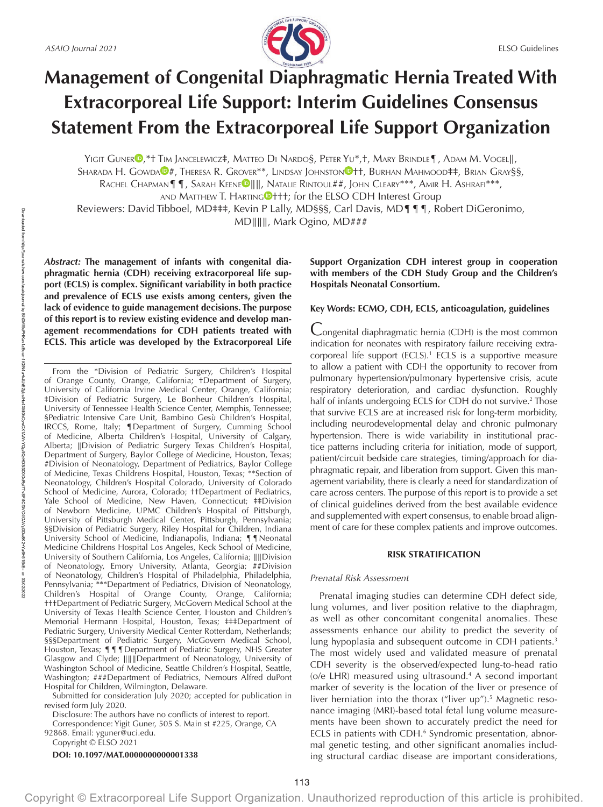

# **Management of Congenital Diaphragmatic Hernia Treated With Extracorporeal Life Support: Interim Guidelines Consensus Statement From the Extracorporeal Life Support Organization**

YIGIT GUNER <sup>D</sup>[,](https://orcid.org/0000-0002-3748-0832)\*† TIM JANCELEWICZ‡, MATTEO DI NARDO§, PETER YU\*,†, MARY BRINDLE¶, ADAM M. VOGEL||,

SH[A](https://orcid.org/0000-0001-7009-4821)RADA H. GOWDA<sup>®</sup>#, Theresa R. Grover<sup>\*\*</sup>, Lindsay Johnston<sup>®</sup>tt, Burhan Mahmood‡‡, Brian Gray§§,

RACH[E](https://orcid.org/0000-0003-2831-8662)L CHAPMAN¶¶, SARAH KEENE<sup>D</sup>||||, NATALIE RINTOUL##, JOHN CLEARY<sup>\*\*\*</sup>, AMIR H. ASHRAFI<sup>\*\*\*</sup>,

AND MATTHEW T. HARTIN[G](https://orcid.org/0000-0002-8929-8311)<sup>O+++</sup>; for the ELSO CDH Interest Group

Reviewers: David Tibboel, MD‡‡‡, Kevin P Lally, MD§§§, Carl Davis, MD¶¶¶, Robert DiGeronimo, MD∥∥∥, Mark Ogino, MD###

*Abstract:* **The management of infants with congenital diaphragmatic hernia (CDH) receiving extracorporeal life support (ECLS) is complex. Significant variability in both practice and prevalence of ECLS use exists among centers, given the lack of evidence to guide management decisions. The purpose of this report is to review existing evidence and develop management recommendations for CDH patients treated with ECLS. This article was developed by the Extracorporeal Life** 

From the \*Division of Pediatric Surgery, Children's Hospital of Orange County, Orange, California; †Department of Surgery, University of California Irvine Medical Center, Orange, California; ‡Division of Pediatric Surgery, Le Bonheur Children's Hospital, University of Tennessee Health Science Center, Memphis, Tennessee; §Pediatric Intensive Care Unit, Bambino Gesù Children's Hospital, IRCCS, Rome, Italy; ¶Department of Surgery, Cumming School of Medicine, Alberta Children's Hospital, University of Calgary, Alberta; ∥Division of Pediatric Surgery Texas Children's Hospital, Department of Surgery, Baylor College of Medicine, Houston, Texas; #Division of Neonatology, Department of Pediatrics, Baylor College of Medicine, Texas Childrens Hospital, Houston, Texas; \*\*Section of Neonatology, Children's Hospital Colorado, University of Colorado School of Medicine, Aurora, Colorado; ††Department of Pediatrics, Yale School of Medicine, New Haven, Connecticut; ‡‡Division of Newborn Medicine, UPMC Children's Hospital of Pittsburgh, University of Pittsburgh Medical Center, Pittsburgh, Pennsylvania; §§Division of Pediatric Surgery, Riley Hospital for Children, Indiana University School of Medicine, Indianapolis, Indiana; ¶¶Neonatal Medicine Childrens Hospital Los Angeles, Keck School of Medicine, University of Southern California, Los Angeles, California; ∥∥Division of Neonatology, Emory University, Atlanta, Georgia; ##Division of Neonatology, Children's Hospital of Philadelphia, Philadelphia, Pennsylvania; \*\*\*Department of Pediatrics, Division of Neonatology, Children's Hospital of Orange County, Orange, California; †††Department of Pediatric Surgery, McGovern Medical School at the University of Texas Health Science Center, Houston and Children's Memorial Hermann Hospital, Houston, Texas; ‡‡‡Department of Pediatric Surgery, University Medical Center Rotterdam, Netherlands; §§§Department of Pediatric Surgery, McGovern Medical School, Houston, Texas; ¶¶¶Department of Pediatric Surgery, NHS Greater Glasgow and Clyde; ∥∥∥Department of Neonatology, University of Washington School of Medicine, Seattle Children's Hospital, Seattle, Washington; ###Department of Pediatrics, Nemours Alfred duPont Hospital for Children, Wilmington, Delaware.

Submitted for consideration July 2020; accepted for publication in revised form July 2020.

Disclosure: The authors have no conflicts of interest to report. Correspondence: Yigit Guner, 505 S. Main st #225, Orange, CA

92868. Email: [yguner@uci.edu](mailto:yguner@uci.edu).

Copyright © ELSO 2021

**DOI: 10.1097/MAT.0000000000001338**

Downloaded from

http://journals.lww.com/asaiojournal

হ

BhDMf5ePHKav1zEoum1tQfN4a+kJLhEZgbsIHo4XMi0hCywCX1AWnYQp/IlQrHD3i3D0OdRyi7TvSFl4Cf3VC4/OAVpDDa8K2+Ya6H515kE=

on 03/02/2022

# **Support Organization CDH interest group in cooperation with members of the CDH Study Group and the Children's Hospitals Neonatal Consortium.**

## **Key Words: ECMO, CDH, ECLS, anticoagulation, guidelines**

Congenital diaphragmatic hernia (CDH) is the most common indication for neonates with respiratory failure receiving extracorporeal life support (ECLS).<sup>1</sup> ECLS is a supportive measure to allow a patient with CDH the opportunity to recover from pulmonary hypertension/pulmonary hypertensive crisis, acute respiratory deterioration, and cardiac dysfunction. Roughly half of infants undergoing ECLS for CDH do not survive.<sup>2</sup> Those that survive ECLS are at increased risk for long-term morbidity, including neurodevelopmental delay and chronic pulmonary hypertension. There is wide variability in institutional practice patterns including criteria for initiation, mode of support, patient/circuit bedside care strategies, timing/approach for diaphragmatic repair, and liberation from support. Given this management variability, there is clearly a need for standardization of care across centers. The purpose of this report is to provide a set of clinical guidelines derived from the best available evidence and supplemented with expert consensus, to enable broad alignment of care for these complex patients and improve outcomes.

# **RISK STRATIFICATION**

## *Prenatal Risk Assessment*

Prenatal imaging studies can determine CDH defect side, lung volumes, and liver position relative to the diaphragm, as well as other concomitant congenital anomalies. These assessments enhance our ability to predict the severity of lung hypoplasia and subsequent outcome in CDH patients.<sup>3</sup> The most widely used and validated measure of prenatal CDH severity is the observed/expected lung-to-head ratio (o/e LHR) measured using ultrasound.4 A second important marker of severity is the location of the liver or presence of liver herniation into the thorax ("liver up").<sup>5</sup> Magnetic resonance imaging (MRI)-based total fetal lung volume measurements have been shown to accurately predict the need for ECLS in patients with CDH.<sup>6</sup> Syndromic presentation, abnormal genetic testing, and other significant anomalies including structural cardiac disease are important considerations,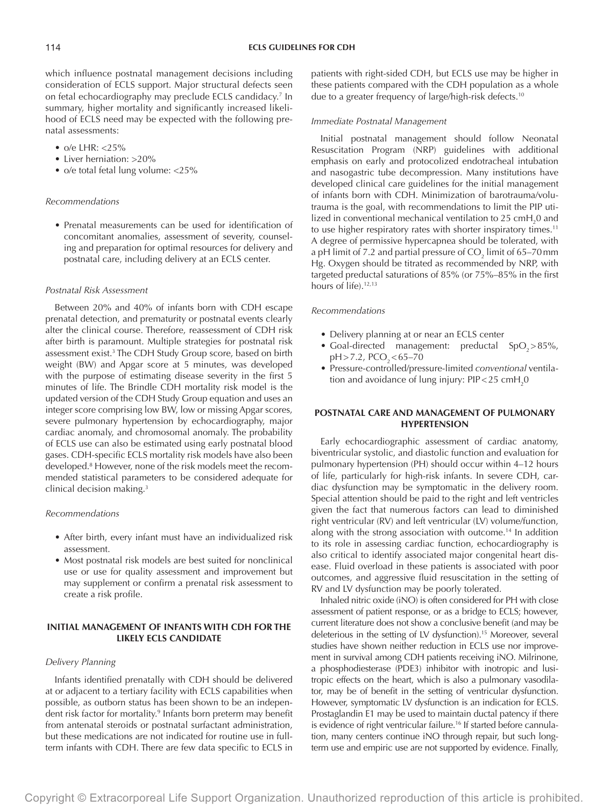which influence postnatal management decisions including consideration of ECLS support. Major structural defects seen on fetal echocardiography may preclude ECLS candidacy.7 In summary, higher mortality and significantly increased likelihood of ECLS need may be expected with the following prenatal assessments:

- $o/e$  LHR:  $<$ 25%
- Liver herniation: >20%
- o/e total fetal lung volume: <25%

## *Recommendations*

• Prenatal measurements can be used for identification of concomitant anomalies, assessment of severity, counseling and preparation for optimal resources for delivery and postnatal care, including delivery at an ECLS center.

#### *Postnatal Risk Assessment*

Between 20% and 40% of infants born with CDH escape prenatal detection, and prematurity or postnatal events clearly alter the clinical course. Therefore, reassessment of CDH risk after birth is paramount. Multiple strategies for postnatal risk assessment exist.<sup>3</sup> The CDH Study Group score, based on birth weight (BW) and Apgar score at 5 minutes, was developed with the purpose of estimating disease severity in the first 5 minutes of life. The Brindle CDH mortality risk model is the updated version of the CDH Study Group equation and uses an integer score comprising low BW, low or missing Apgar scores, severe pulmonary hypertension by echocardiography, major cardiac anomaly, and chromosomal anomaly. The probability of ECLS use can also be estimated using early postnatal blood gases. CDH-specific ECLS mortality risk models have also been developed.8 However, none of the risk models meet the recommended statistical parameters to be considered adequate for clinical decision making.3

## *Recommendations*

- After birth, every infant must have an individualized risk assessment.
- Most postnatal risk models are best suited for nonclinical use or use for quality assessment and improvement but may supplement or confirm a prenatal risk assessment to create a risk profile.

# **INITIAL MANAGEMENT OF INFANTS WITH CDH FOR THE LIKELY ECLS CANDIDATE**

# *Delivery Planning*

Infants identified prenatally with CDH should be delivered at or adjacent to a tertiary facility with ECLS capabilities when possible, as outborn status has been shown to be an independent risk factor for mortality.9 Infants born preterm may benefit from antenatal steroids or postnatal surfactant administration, but these medications are not indicated for routine use in fullterm infants with CDH. There are few data specific to ECLS in

patients with right-sided CDH, but ECLS use may be higher in these patients compared with the CDH population as a whole due to a greater frequency of large/high-risk defects.10

#### *Immediate Postnatal Management*

Initial postnatal management should follow Neonatal Resuscitation Program (NRP) guidelines with additional emphasis on early and protocolized endotracheal intubation and nasogastric tube decompression. Many institutions have developed clinical care guidelines for the initial management of infants born with CDH. Minimization of barotrauma/volutrauma is the goal, with recommendations to limit the PIP utilized in conventional mechanical ventilation to 25  $\text{cmH}_{2}$ 0 and to use higher respiratory rates with shorter inspiratory times.<sup>11</sup> A degree of permissive hypercapnea should be tolerated, with a pH limit of 7.2 and partial pressure of CO $_{\textrm{\tiny{2}}}$  limit of 65–70 mm Hg. Oxygen should be titrated as recommended by NRP, with targeted preductal saturations of 85% (or 75%–85% in the first hours of life).<sup>12,13</sup>

# *Recommendations*

- Delivery planning at or near an ECLS center
- Goal-directed management: preductal  $SpO_{2} > 85\%$ ,  $pH > 7.2$ , PCO<sub>2</sub> < 65–70
- Pressure-controlled/pressure-limited *conventional* ventilation and avoidance of lung injury: PIP<25  $\textsf{cmH}_{\textsf{2}}\textsf{0}$

# **POSTNATAL CARE AND MANAGEMENT OF PULMONARY HYPERTENSION**

Early echocardiographic assessment of cardiac anatomy, biventricular systolic, and diastolic function and evaluation for pulmonary hypertension (PH) should occur within 4–12 hours of life, particularly for high-risk infants. In severe CDH, cardiac dysfunction may be symptomatic in the delivery room. Special attention should be paid to the right and left ventricles given the fact that numerous factors can lead to diminished right ventricular (RV) and left ventricular (LV) volume/function, along with the strong association with outcome.<sup>14</sup> In addition to its role in assessing cardiac function, echocardiography is also critical to identify associated major congenital heart disease. Fluid overload in these patients is associated with poor outcomes, and aggressive fluid resuscitation in the setting of RV and LV dysfunction may be poorly tolerated.

Inhaled nitric oxide (iNO) is often considered for PH with close assessment of patient response, or as a bridge to ECLS; however, current literature does not show a conclusive benefit (and may be deleterious in the setting of LV dysfunction).15 Moreover, several studies have shown neither reduction in ECLS use nor improvement in survival among CDH patients receiving iNO. Milrinone, a phosphodiesterase (PDE3) inhibitor with inotropic and lusitropic effects on the heart, which is also a pulmonary vasodilator, may be of benefit in the setting of ventricular dysfunction. However, symptomatic LV dysfunction is an indication for ECLS. Prostaglandin E1 may be used to maintain ductal patency if there is evidence of right ventricular failure.<sup>16</sup> If started before cannulation, many centers continue iNO through repair, but such longterm use and empiric use are not supported by evidence. Finally,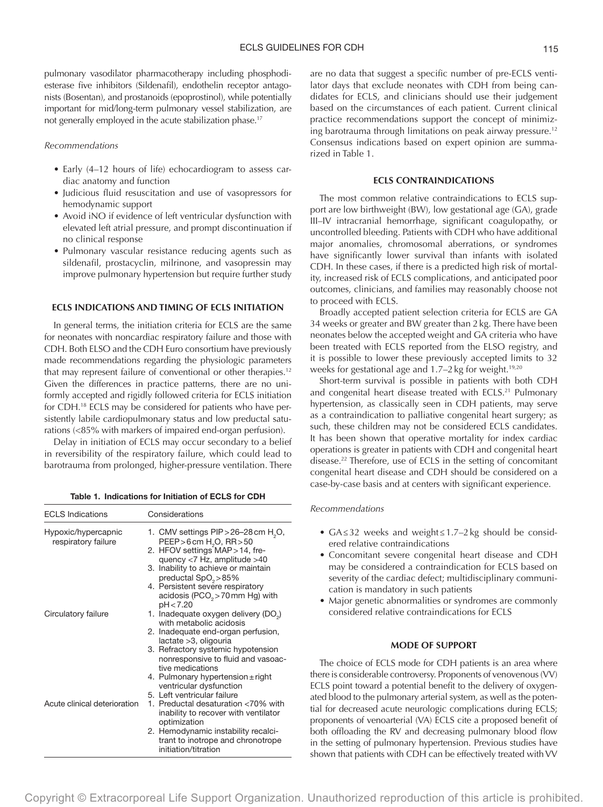pulmonary vasodilator pharmacotherapy including phosphodiesterase five inhibitors (Sildenafil), endothelin receptor antagonists (Bosentan), and prostanoids (epoprostinol), while potentially important for mid/long-term pulmonary vessel stabilization, are not generally employed in the acute stabilization phase.<sup>17</sup>

## *Recommendations*

- Early (4–12 hours of life) echocardiogram to assess cardiac anatomy and function
- Judicious fluid resuscitation and use of vasopressors for hemodynamic support
- Avoid iNO if evidence of left ventricular dysfunction with elevated left atrial pressure, and prompt discontinuation if no clinical response
- Pulmonary vascular resistance reducing agents such as sildenafil, prostacyclin, milrinone, and vasopressin may improve pulmonary hypertension but require further study

# **ECLS INDICATIONS AND TIMING OF ECLS INITIATION**

In general terms, the initiation criteria for ECLS are the same for neonates with noncardiac respiratory failure and those with CDH. Both ELSO and the CDH Euro consortium have previously made recommendations regarding the physiologic parameters that may represent failure of conventional or other therapies.<sup>12</sup> Given the differences in practice patterns, there are no uniformly accepted and rigidly followed criteria for ECLS initiation for CDH.18 ECLS may be considered for patients who have persistently labile cardiopulmonary status and low preductal saturations (<85% with markers of impaired end-organ perfusion).

Delay in initiation of ECLS may occur secondary to a belief in reversibility of the respiratory failure, which could lead to barotrauma from prolonged, higher-pressure ventilation. There

|  |  |  |  | Table 1. Indications for Initiation of ECLS for CDH |
|--|--|--|--|-----------------------------------------------------|
|--|--|--|--|-----------------------------------------------------|

| <b>ECLS</b> Indications                    | Considerations                                                                                                                                                                                                                                                                                                                      |
|--------------------------------------------|-------------------------------------------------------------------------------------------------------------------------------------------------------------------------------------------------------------------------------------------------------------------------------------------------------------------------------------|
| Hypoxic/hypercapnic<br>respiratory failure | 1. CMV settings PIP > 26-28 cm H <sub>2</sub> O,<br>PEEP > 6 cm H <sub>2</sub> O, RR > 50<br>2. HFOV settings MAP > 14, fre-<br>quency <7 Hz, amplitude >40<br>3. Inability to achieve or maintain<br>preductal SpO <sub>2</sub> >85%<br>4. Persistent severe respiratory<br>acidosis (PCO <sub>2</sub> > 70 mm Hg) with<br>pH<7.20 |
| Circulatory failure                        | 1. Inadequate oxygen delivery (DO <sub>2</sub> )<br>with metabolic acidosis<br>2. Inadequate end-organ perfusion,<br>lactate >3, oligouria<br>3. Refractory systemic hypotension<br>nonresponsive to fluid and vasoac-<br>tive medications<br>4. Pulmonary hypertension $\pm$ right<br>ventricular dysfunction                      |
| Acute clinical deterioration               | 5. Left ventricular failure<br>1. Preductal desaturation <70% with<br>inability to recover with ventilator<br>optimization<br>2. Hemodynamic instability recalci-<br>trant to inotrope and chronotrope<br>initiation/titration                                                                                                      |

are no data that suggest a specific number of pre-ECLS ventilator days that exclude neonates with CDH from being candidates for ECLS, and clinicians should use their judgement based on the circumstances of each patient. Current clinical practice recommendations support the concept of minimizing barotrauma through limitations on peak airway pressure.12 Consensus indications based on expert opinion are summarized in Table 1.

## **ECLS CONTRAINDICATIONS**

The most common relative contraindications to ECLS support are low birthweight (BW), low gestational age (GA), grade III–IV intracranial hemorrhage, significant coagulopathy, or uncontrolled bleeding. Patients with CDH who have additional major anomalies, chromosomal aberrations, or syndromes have significantly lower survival than infants with isolated CDH. In these cases, if there is a predicted high risk of mortality, increased risk of ECLS complications, and anticipated poor outcomes, clinicians, and families may reasonably choose not to proceed with ECLS.

Broadly accepted patient selection criteria for ECLS are GA 34 weeks or greater and BW greater than 2kg. There have been neonates below the accepted weight and GA criteria who have been treated with ECLS reported from the ELSO registry, and it is possible to lower these previously accepted limits to 32 weeks for gestational age and  $1.7-2$  kg for weight.<sup>19,20</sup>

Short-term survival is possible in patients with both CDH and congenital heart disease treated with ECLS.<sup>21</sup> Pulmonary hypertension, as classically seen in CDH patients, may serve as a contraindication to palliative congenital heart surgery; as such, these children may not be considered ECLS candidates. It has been shown that operative mortality for index cardiac operations is greater in patients with CDH and congenital heart disease.22 Therefore, use of ECLS in the setting of concomitant congenital heart disease and CDH should be considered on a case-by-case basis and at centers with significant experience.

# *Recommendations*

- GA≤32 weeks and weight≤1.7–2kg should be considered relative contraindications
- Concomitant severe congenital heart disease and CDH may be considered a contraindication for ECLS based on severity of the cardiac defect; multidisciplinary communication is mandatory in such patients
- Major genetic abnormalities or syndromes are commonly considered relative contraindications for ECLS

## **MODE OF SUPPORT**

The choice of ECLS mode for CDH patients is an area where there is considerable controversy. Proponents of venovenous (VV) ECLS point toward a potential benefit to the delivery of oxygenated blood to the pulmonary arterial system, as well as the potential for decreased acute neurologic complications during ECLS; proponents of venoarterial (VA) ECLS cite a proposed benefit of both offloading the RV and decreasing pulmonary blood flow in the setting of pulmonary hypertension. Previous studies have shown that patients with CDH can be effectively treated with VV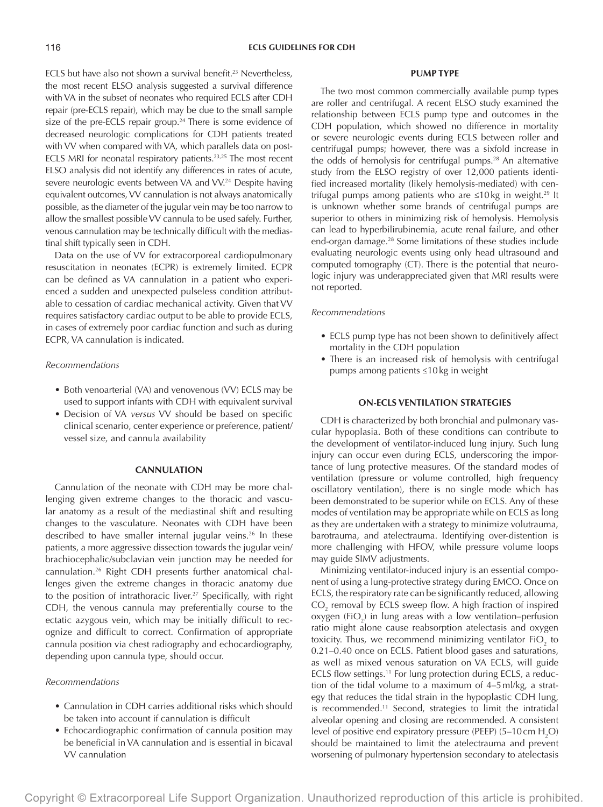ECLS but have also not shown a survival benefit.<sup>23</sup> Nevertheless, the most recent ELSO analysis suggested a survival difference with VA in the subset of neonates who required ECLS after CDH repair (pre-ECLS repair), which may be due to the small sample size of the pre-ECLS repair group.<sup>24</sup> There is some evidence of decreased neurologic complications for CDH patients treated with VV when compared with VA, which parallels data on post-ECLS MRI for neonatal respiratory patients.23,25 The most recent ELSO analysis did not identify any differences in rates of acute, severe neurologic events between VA and VV.<sup>24</sup> Despite having equivalent outcomes, VV cannulation is not always anatomically possible, as the diameter of the jugular vein may be too narrow to allow the smallest possible VV cannula to be used safely. Further, venous cannulation may be technically difficult with the mediastinal shift typically seen in CDH.

Data on the use of VV for extracorporeal cardiopulmonary resuscitation in neonates (ECPR) is extremely limited. ECPR can be defined as VA cannulation in a patient who experienced a sudden and unexpected pulseless condition attributable to cessation of cardiac mechanical activity. Given that VV requires satisfactory cardiac output to be able to provide ECLS, in cases of extremely poor cardiac function and such as during ECPR, VA cannulation is indicated.

#### *Recommendations*

- Both venoarterial (VA) and venovenous (VV) ECLS may be used to support infants with CDH with equivalent survival
- Decision of VA *versus* VV should be based on specific clinical scenario, center experience or preference, patient/ vessel size, and cannula availability

## **CANNULATION**

Cannulation of the neonate with CDH may be more challenging given extreme changes to the thoracic and vascular anatomy as a result of the mediastinal shift and resulting changes to the vasculature. Neonates with CDH have been described to have smaller internal jugular veins.<sup>26</sup> In these patients, a more aggressive dissection towards the jugular vein/ brachiocephalic/subclavian vein junction may be needed for cannulation.26 Right CDH presents further anatomical challenges given the extreme changes in thoracic anatomy due to the position of intrathoracic liver.<sup>27</sup> Specifically, with right CDH, the venous cannula may preferentially course to the ectatic azygous vein, which may be initially difficult to recognize and difficult to correct. Confirmation of appropriate cannula position via chest radiography and echocardiography, depending upon cannula type, should occur.

# *Recommendations*

- Cannulation in CDH carries additional risks which should be taken into account if cannulation is difficult
- Echocardiographic confirmation of cannula position may be beneficial in VA cannulation and is essential in bicaval VV cannulation

#### **PUMP TYPE**

The two most common commercially available pump types are roller and centrifugal. A recent ELSO study examined the relationship between ECLS pump type and outcomes in the CDH population, which showed no difference in mortality or severe neurologic events during ECLS between roller and centrifugal pumps; however, there was a sixfold increase in the odds of hemolysis for centrifugal pumps.<sup>28</sup> An alternative study from the ELSO registry of over 12,000 patients identified increased mortality (likely hemolysis-mediated) with centrifugal pumps among patients who are  $\leq 10$ kg in weight.<sup>29</sup> It is unknown whether some brands of centrifugal pumps are superior to others in minimizing risk of hemolysis. Hemolysis can lead to hyperbilirubinemia, acute renal failure, and other end-organ damage.28 Some limitations of these studies include evaluating neurologic events using only head ultrasound and computed tomography (CT). There is the potential that neurologic injury was underappreciated given that MRI results were not reported.

# *Recommendations*

- ECLS pump type has not been shown to definitively affect mortality in the CDH population
- There is an increased risk of hemolysis with centrifugal pumps among patients ≤10kg in weight

# **ON-ECLS VENTILATION STRATEGIES**

CDH is characterized by both bronchial and pulmonary vascular hypoplasia. Both of these conditions can contribute to the development of ventilator-induced lung injury. Such lung injury can occur even during ECLS, underscoring the importance of lung protective measures. Of the standard modes of ventilation (pressure or volume controlled, high frequency oscillatory ventilation), there is no single mode which has been demonstrated to be superior while on ECLS. Any of these modes of ventilation may be appropriate while on ECLS as long as they are undertaken with a strategy to minimize volutrauma, barotrauma, and atelectrauma. Identifying over-distention is more challenging with HFOV, while pressure volume loops may guide SIMV adjustments.

Minimizing ventilator-induced injury is an essential component of using a lung-protective strategy during EMCO. Once on ECLS, the respiratory rate can be significantly reduced, allowing  $CO<sub>2</sub>$  removal by ECLS sweep flow. A high fraction of inspired oxygen (FiO<sub>2</sub>) in lung areas with a low ventilation–perfusion ratio might alone cause reabsorption atelectasis and oxygen toxicity. Thus, we recommend minimizing ventilator FiO<sub>2</sub> to 0.21–0.40 once on ECLS. Patient blood gases and saturations, as well as mixed venous saturation on VA ECLS, will guide ECLS flow settings.<sup>11</sup> For lung protection during ECLS, a reduction of the tidal volume to a maximum of 4–5ml/kg, a strategy that reduces the tidal strain in the hypoplastic CDH lung, is recommended.11 Second, strategies to limit the intratidal alveolar opening and closing are recommended. A consistent level of positive end expiratory pressure (PEEP) (5–10 cm  $\rm H_2O$ ) should be maintained to limit the atelectrauma and prevent worsening of pulmonary hypertension secondary to atelectasis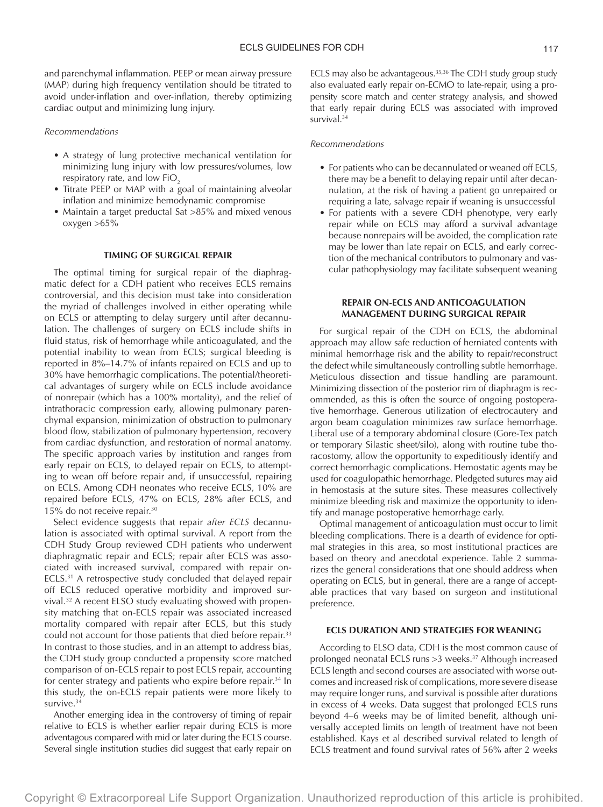and parenchymal inflammation. PEEP or mean airway pressure (MAP) during high frequency ventilation should be titrated to avoid under-inflation and over-inflation, thereby optimizing cardiac output and minimizing lung injury.

#### *Recommendations*

- A strategy of lung protective mechanical ventilation for minimizing lung injury with low pressures/volumes, low respiratory rate, and low  $FiO<sub>2</sub>$
- Titrate PEEP or MAP with a goal of maintaining alveolar inflation and minimize hemodynamic compromise
- Maintain a target preductal Sat >85% and mixed venous oxygen >65%

## **TIMING OF SURGICAL REPAIR**

The optimal timing for surgical repair of the diaphragmatic defect for a CDH patient who receives ECLS remains controversial, and this decision must take into consideration the myriad of challenges involved in either operating while on ECLS or attempting to delay surgery until after decannulation. The challenges of surgery on ECLS include shifts in fluid status, risk of hemorrhage while anticoagulated, and the potential inability to wean from ECLS; surgical bleeding is reported in 8%–14.7% of infants repaired on ECLS and up to 30% have hemorrhagic complications. The potential/theoretical advantages of surgery while on ECLS include avoidance of nonrepair (which has a 100% mortality), and the relief of intrathoracic compression early, allowing pulmonary parenchymal expansion, minimization of obstruction to pulmonary blood flow, stabilization of pulmonary hypertension, recovery from cardiac dysfunction, and restoration of normal anatomy. The specific approach varies by institution and ranges from early repair on ECLS, to delayed repair on ECLS, to attempting to wean off before repair and, if unsuccessful, repairing on ECLS. Among CDH neonates who receive ECLS, 10% are repaired before ECLS, 47% on ECLS, 28% after ECLS, and 15% do not receive repair.30

Select evidence suggests that repair *after ECLS* decannulation is associated with optimal survival. A report from the CDH Study Group reviewed CDH patients who underwent diaphragmatic repair and ECLS; repair after ECLS was associated with increased survival, compared with repair on-ECLS.31 A retrospective study concluded that delayed repair off ECLS reduced operative morbidity and improved survival.32 A recent ELSO study evaluating showed with propensity matching that on-ECLS repair was associated increased mortality compared with repair after ECLS, but this study could not account for those patients that died before repair.<sup>33</sup> In contrast to those studies, and in an attempt to address bias, the CDH study group conducted a propensity score matched comparison of on-ECLS repair to post ECLS repair, accounting for center strategy and patients who expire before repair.<sup>34</sup> In this study, the on-ECLS repair patients were more likely to survive.<sup>34</sup>

Another emerging idea in the controversy of timing of repair relative to ECLS is whether earlier repair during ECLS is more adventagous compared with mid or later during the ECLS course. Several single institution studies did suggest that early repair on

ECLS may also be advantageous.<sup>35,36</sup> The CDH study group study also evaluated early repair on-ECMO to late-repair, using a propensity score match and center strategy analysis, and showed that early repair during ECLS was associated with improved survival.<sup>34</sup>

# *Recommendations*

- For patients who can be decannulated or weaned off ECLS, there may be a benefit to delaying repair until after decannulation, at the risk of having a patient go unrepaired or requiring a late, salvage repair if weaning is unsuccessful
- For patients with a severe CDH phenotype, very early repair while on ECLS may afford a survival advantage because nonrepairs will be avoided, the complication rate may be lower than late repair on ECLS, and early correction of the mechanical contributors to pulmonary and vascular pathophysiology may facilitate subsequent weaning

# **REPAIR ON-ECLS AND ANTICOAGULATION MANAGEMENT DURING SURGICAL REPAIR**

For surgical repair of the CDH on ECLS, the abdominal approach may allow safe reduction of herniated contents with minimal hemorrhage risk and the ability to repair/reconstruct the defect while simultaneously controlling subtle hemorrhage. Meticulous dissection and tissue handling are paramount. Minimizing dissection of the posterior rim of diaphragm is recommended, as this is often the source of ongoing postoperative hemorrhage. Generous utilization of electrocautery and argon beam coagulation minimizes raw surface hemorrhage. Liberal use of a temporary abdominal closure (Gore-Tex patch or temporary Silastic sheet/silo), along with routine tube thoracostomy, allow the opportunity to expeditiously identify and correct hemorrhagic complications. Hemostatic agents may be used for coagulopathic hemorrhage. Pledgeted sutures may aid in hemostasis at the suture sites. These measures collectively minimize bleeding risk and maximize the opportunity to identify and manage postoperative hemorrhage early.

Optimal management of anticoagulation must occur to limit bleeding complications. There is a dearth of evidence for optimal strategies in this area, so most institutional practices are based on theory and anecdotal experience. Table 2 summarizes the general considerations that one should address when operating on ECLS, but in general, there are a range of acceptable practices that vary based on surgeon and institutional preference.

## **ECLS DURATION AND STRATEGIES FOR WEANING**

According to ELSO data, CDH is the most common cause of prolonged neonatal ECLS runs >3 weeks.37 Although increased ECLS length and second courses are associated with worse outcomes and increased risk of complications, more severe disease may require longer runs, and survival is possible after durations in excess of 4 weeks. Data suggest that prolonged ECLS runs beyond 4–6 weeks may be of limited benefit, although universally accepted limits on length of treatment have not been established. Kays et al described survival related to length of ECLS treatment and found survival rates of 56% after 2 weeks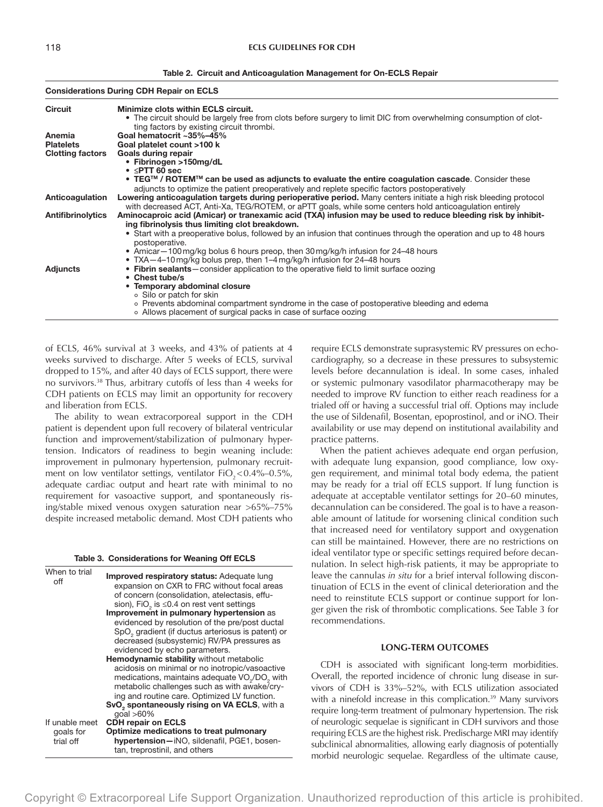Table 2. Circuit and Anticoagulation Management for On-ECLS Repair

| <b>Considerations During CDH Repair on ECLS</b>                                                                                                                                                                                                             |
|-------------------------------------------------------------------------------------------------------------------------------------------------------------------------------------------------------------------------------------------------------------|
| Minimize clots within ECLS circuit.<br>• The circuit should be largely free from clots before surgery to limit DIC from overwhelming consumption of clot-<br>ting factors by existing circuit thrombi.                                                      |
| Goal hematocrit ~35%-45%                                                                                                                                                                                                                                    |
| Goal platelet count >100 k                                                                                                                                                                                                                                  |
| Goals during repair                                                                                                                                                                                                                                         |
| • Fibrinogen >150mg/dL                                                                                                                                                                                                                                      |
| $\bullet$ $\leq$ PTT 60 sec<br>• TEG <sup>TM</sup> / ROTEM <sup>TM</sup> can be used as adjuncts to evaluate the entire coagulation cascade. Consider these<br>adjuncts to optimize the patient preoperatively and replete specific factors postoperatively |
| Lowering anticoagulation targets during perioperative period. Many centers initiate a high risk bleeding protocol<br>with decreased ACT, Anti-Xa, TEG/ROTEM, or aPTT goals, while some centers hold anticoagulation entirely                                |
| Aminocaproic acid (Amicar) or tranexamic acid (TXA) infusion may be used to reduce bleeding risk by inhibit-<br>ing fibrinolysis thus limiting clot breakdown.                                                                                              |
| • Start with a preoperative bolus, followed by an infusion that continues through the operation and up to 48 hours<br>postoperative.                                                                                                                        |
| • Amicar – 100 mg/kg bolus 6 hours preop, then 30 mg/kg/h infusion for 24–48 hours                                                                                                                                                                          |
| • TXA-4-10 mg/kg bolus prep, then 1-4 mg/kg/h infusion for 24-48 hours                                                                                                                                                                                      |
| • Fibrin sealants—consider application to the operative field to limit surface oozing                                                                                                                                                                       |
| • Chest tube/s                                                                                                                                                                                                                                              |
| • Temporary abdominal closure                                                                                                                                                                                                                               |
| ○ Silo or patch for skin                                                                                                                                                                                                                                    |
| o Prevents abdominal compartment syndrome in the case of postoperative bleeding and edema<br>○ Allows placement of surgical packs in case of surface oozing                                                                                                 |
|                                                                                                                                                                                                                                                             |

of ECLS, 46% survival at 3 weeks, and 43% of patients at 4 weeks survived to discharge. After 5 weeks of ECLS, survival dropped to 15%, and after 40 days of ECLS support, there were no survivors.38 Thus, arbitrary cutoffs of less than 4 weeks for CDH patients on ECLS may limit an opportunity for recovery and liberation from ECLS.

The ability to wean extracorporeal support in the CDH patient is dependent upon full recovery of bilateral ventricular function and improvement/stabilization of pulmonary hypertension. Indicators of readiness to begin weaning include: improvement in pulmonary hypertension, pulmonary recruitment on low ventilator settings, ventilator  $FiO_{2} < 0.4\% - 0.5\%$ , adequate cardiac output and heart rate with minimal to no requirement for vasoactive support, and spontaneously rising/stable mixed venous oxygen saturation near >65%–75% despite increased metabolic demand. Most CDH patients who

| Table 3. Considerations for Weaning Off ECLS |  |  |
|----------------------------------------------|--|--|
|----------------------------------------------|--|--|

| When to trial<br>off | <b>Improved respiratory status:</b> Adequate lung                     |
|----------------------|-----------------------------------------------------------------------|
|                      | expansion on CXR to FRC without focal areas                           |
|                      | of concern (consolidation, atelectasis, effu-                         |
|                      | sion), FiO <sub>2</sub> is $\leq$ 0.4 on rest vent settings           |
|                      | Improvement in pulmonary hypertension as                              |
|                      | evidenced by resolution of the pre/post ductal                        |
|                      | SpO <sub>2</sub> gradient (if ductus arteriosus is patent) or         |
|                      | decreased (subsystemic) RV/PA pressures as                            |
|                      | evidenced by echo parameters.                                         |
|                      | <b>Hemodynamic stability</b> without metabolic                        |
|                      | acidosis on minimal or no inotropic/vasoactive                        |
|                      | medications, maintains adequate VO <sub>~</sub> /DO <sub>2</sub> with |
|                      | metabolic challenges such as with awake/cry-                          |
|                      | ing and routine care. Optimized LV function.                          |
|                      | SvO <sub>2</sub> spontaneously rising on VA ECLS, with a              |
|                      | $qcal > 60\%$                                                         |
| If unable meet       | <b>CDH repair on ECLS</b>                                             |
| goals for            | Optimize medications to treat pulmonary                               |
| trial off            | hypertension-iNO, sildenafil, PGE1, bosen-                            |
|                      | tan, treprostinil, and others                                         |

require ECLS demonstrate suprasystemic RV pressures on echocardiography, so a decrease in these pressures to subsystemic levels before decannulation is ideal. In some cases, inhaled or systemic pulmonary vasodilator pharmacotherapy may be needed to improve RV function to either reach readiness for a trialed off or having a successful trial off. Options may include the use of Sildenafil, Bosentan, epoprostinol, and or iNO. Their availability or use may depend on institutional availability and practice patterns.

When the patient achieves adequate end organ perfusion, with adequate lung expansion, good compliance, low oxygen requirement, and minimal total body edema, the patient may be ready for a trial off ECLS support. If lung function is adequate at acceptable ventilator settings for 20–60 minutes, decannulation can be considered. The goal is to have a reasonable amount of latitude for worsening clinical condition such that increased need for ventilatory support and oxygenation can still be maintained. However, there are no restrictions on ideal ventilator type or specific settings required before decannulation. In select high-risk patients, it may be appropriate to leave the cannulas *in situ* for a brief interval following discontinuation of ECLS in the event of clinical deterioration and the need to reinstitute ECLS support or continue support for longer given the risk of thrombotic complications. See Table 3 for recommendations.

#### **LONG-TERM OUTCOMES**

CDH is associated with significant long-term morbidities. Overall, the reported incidence of chronic lung disease in survivors of CDH is 33%–52%, with ECLS utilization associated with a ninefold increase in this complication.<sup>39</sup> Many survivors require long-term treatment of pulmonary hypertension. The risk of neurologic sequelae is significant in CDH survivors and those requiring ECLS are the highest risk. Predischarge MRI may identify subclinical abnormalities, allowing early diagnosis of potentially morbid neurologic sequelae. Regardless of the ultimate cause,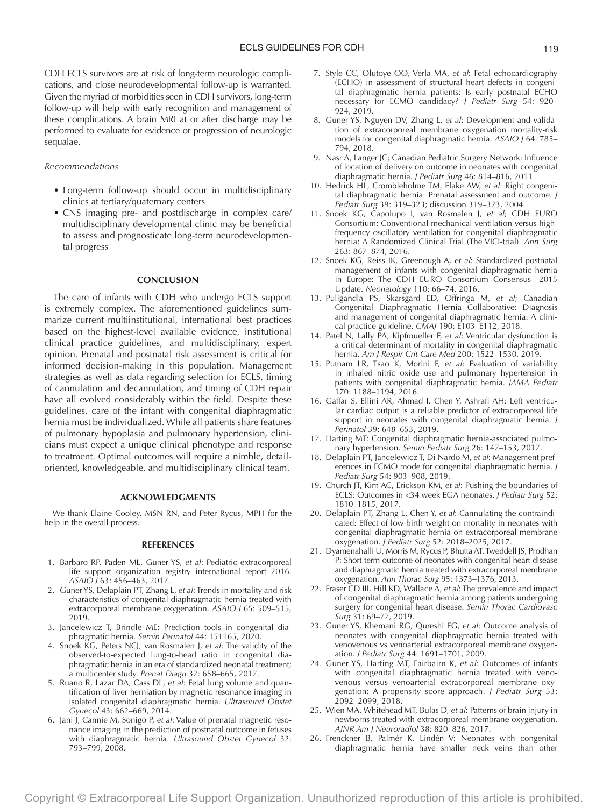CDH ECLS survivors are at risk of long-term neurologic complications, and close neurodevelopmental follow-up is warranted. Given the myriad of morbidities seen in CDH survivors, long-term follow-up will help with early recognition and management of these complications. A brain MRI at or after discharge may be performed to evaluate for evidence or progression of neurologic sequalae.

# *Recommendations*

- Long-term follow-up should occur in multidisciplinary clinics at tertiary/quaternary centers
- CNS imaging pre- and postdischarge in complex care/ multidisciplinary developmental clinic may be beneficial to assess and prognosticate long-term neurodevelopmental progress

## **CONCLUSION**

The care of infants with CDH who undergo ECLS support is extremely complex. The aforementioned guidelines summarize current multiinstitutional, international best practices based on the highest-level available evidence, institutional clinical practice guidelines, and multidisciplinary, expert opinion. Prenatal and postnatal risk assessment is critical for informed decision-making in this population. Management strategies as well as data regarding selection for ECLS, timing of cannulation and decannulation, and timing of CDH repair have all evolved considerably within the field. Despite these guidelines, care of the infant with congenital diaphragmatic hernia must be individualized. While all patients share features of pulmonary hypoplasia and pulmonary hypertension, clinicians must expect a unique clinical phenotype and response to treatment. Optimal outcomes will require a nimble, detailoriented, knowledgeable, and multidisciplinary clinical team.

#### **ACKNOWLEDGMENTS**

We thank Elaine Cooley, MSN RN, and Peter Rycus, MPH for the help in the overall process.

#### **REFERENCES**

- 1. Barbaro RP, Paden ML, Guner YS, *et al*: Pediatric extracorporeal life support organization registry international report 2016. *ASAIO J* 63: 456–463, 2017.
- 2. Guner YS, Delaplain PT, Zhang L, *et al*: Trends in mortality and risk characteristics of congenital diaphragmatic hernia treated with extracorporeal membrane oxygenation. *ASAIO J* 65: 509–515, 2019.
- 3. Jancelewicz T, Brindle ME: Prediction tools in congenital diaphragmatic hernia. *Semin Perinatol* 44: 151165, 2020.
- 4. Snoek KG, Peters NCJ, van Rosmalen J, *et al*: The validity of the observed-to-expected lung-to-head ratio in congenital diaphragmatic hernia in an era of standardized neonatal treatment; a multicenter study. *Prenat Diagn* 37: 658–665, 2017.
- 5. Ruano R, Lazar DA, Cass DL, *et al*: Fetal lung volume and quantification of liver herniation by magnetic resonance imaging in isolated congenital diaphragmatic hernia. *Ultrasound Obstet Gynecol* 43: 662–669, 2014.
- 6. Jani J, Cannie M, Sonigo P, *et al*: Value of prenatal magnetic resonance imaging in the prediction of postnatal outcome in fetuses with diaphragmatic hernia. *Ultrasound Obstet Gynecol* 32: 793–799, 2008.
- 7. Style CC, Olutoye OO, Verla MA, *et al*: Fetal echocardiography (ECHO) in assessment of structural heart defects in congenital diaphragmatic hernia patients: Is early postnatal ECHO necessary for ECMO candidacy? *J Pediatr Surg* 54: 920– 924, 2019.
- 8. Guner YS, Nguyen DV, Zhang L, *et al*: Development and validation of extracorporeal membrane oxygenation mortality-risk models for congenital diaphragmatic hernia. *ASAIO J* 64: 785– 794, 2018.
- 9. Nasr A, Langer JC; Canadian Pediatric Surgery Network: Influence of location of delivery on outcome in neonates with congenital diaphragmatic hernia. *J Pediatr Surg* 46: 814–816, 2011.
- 10. Hedrick HL, Crombleholme TM, Flake AW, *et al*: Right congenital diaphragmatic hernia: Prenatal assessment and outcome. *J Pediatr Surg* 39: 319–323; discussion 319–323, 2004.
- 11. Snoek KG, Capolupo I, van Rosmalen J, *et al*; CDH EURO Consortium: Conventional mechanical ventilation versus highfrequency oscillatory ventilation for congenital diaphragmatic hernia: A Randomized Clinical Trial (The VICI-trial). *Ann Surg* 263: 867–874, 2016.
- 12. Snoek KG, Reiss IK, Greenough A, *et al*: Standardized postnatal management of infants with congenital diaphragmatic hernia in Europe: The CDH EURO Consortium Consensus—2015 Update. *Neonatology* 110: 66–74, 2016.
- 13. Puligandla PS, Skarsgard ED, Offringa M, *et al*; Canadian Congenital Diaphragmatic Hernia Collaborative: Diagnosis and management of congenital diaphragmatic hernia: A clinical practice guideline. *CMAJ* 190: E103–E112, 2018.
- 14. Patel N, Lally PA, Kipfmueller F, *et al*: Ventricular dysfunction is a critical determinant of mortality in congenital diaphragmatic hernia. *Am J Respir Crit Care Med* 200: 1522–1530, 2019.
- 15. Putnam LR, Tsao K, Morini F, *et al*: Evaluation of variability in inhaled nitric oxide use and pulmonary hypertension in patients with congenital diaphragmatic hernia. *JAMA Pediatr* 170: 1188–1194, 2016.
- 16. Gaffar S, Ellini AR, Ahmad I, Chen Y, Ashrafi AH: Left ventricular cardiac output is a reliable predictor of extracorporeal life support in neonates with congenital diaphragmatic hernia. *J Perinatol* 39: 648–653, 2019.
- 17. Harting MT: Congenital diaphragmatic hernia-associated pulmonary hypertension. *Semin Pediatr Surg* 26: 147–153, 2017.
- 18. Delaplain PT, Jancelewicz T, Di Nardo M, *et al*: Management preferences in ECMO mode for congenital diaphragmatic hernia. *J Pediatr Surg* 54: 903–908, 2019.
- 19. Church JT, Kim AC, Erickson KM, *et al*: Pushing the boundaries of ECLS: Outcomes in <34 week EGA neonates. *J Pediatr Surg* 52: 1810–1815, 2017.
- 20. Delaplain PT, Zhang L, Chen Y, *et al*: Cannulating the contraindicated: Effect of low birth weight on mortality in neonates with congenital diaphragmatic hernia on extracorporeal membrane oxygenation. *J Pediatr Surg* 52: 2018–2025, 2017.
- 21. Dyamenahalli U, Morris M, Rycus P, Bhutta AT, Tweddell JS, Prodhan P: Short-term outcome of neonates with congenital heart disease and diaphragmatic hernia treated with extracorporeal membrane oxygenation. *Ann Thorac Surg* 95: 1373–1376, 2013.
- 22. Fraser CD III, Hill KD, Wallace A, *et al*: The prevalence and impact of congenital diaphragmatic hernia among patients undergoing surgery for congenital heart disease. *Semin Thorac Cardiovasc Surg* 31: 69–77, 2019.
- 23. Guner YS, Khemani RG, Qureshi FG, *et al*: Outcome analysis of neonates with congenital diaphragmatic hernia treated with venovenous vs venoarterial extracorporeal membrane oxygenation. *J Pediatr Surg* 44: 1691–1701, 2009.
- 24. Guner YS, Harting MT, Fairbairn K, *et al*: Outcomes of infants with congenital diaphragmatic hernia treated with venovenous versus venoarterial extracorporeal membrane oxygenation: A propensity score approach. *J Pediatr Surg* 53: 2092–2099, 2018.
- 25. Wien MA, Whitehead MT, Bulas D, *et al*: Patterns of brain injury in newborns treated with extracorporeal membrane oxygenation. *AJNR Am J Neuroradiol* 38: 820–826, 2017.
- 26. Frenckner B, Palmér K, Lindén V: Neonates with congenital diaphragmatic hernia have smaller neck veins than other